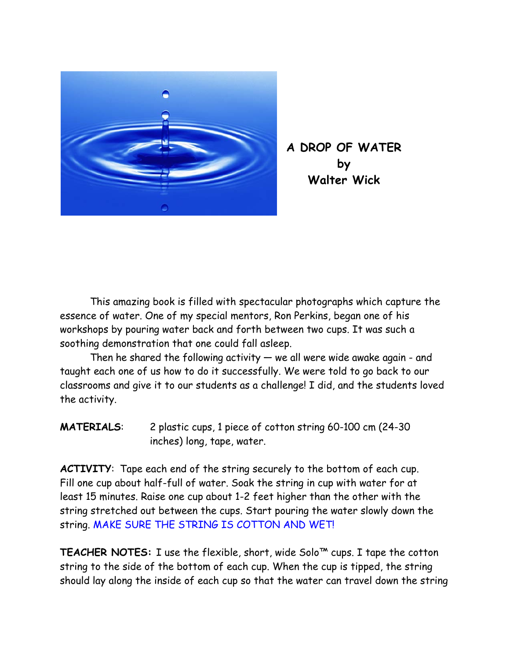

**A DROP OF WATER by Walter Wick**

This amazing book is filled with spectacular photographs which capture the essence of water. One of my special mentors, Ron Perkins, began one of his workshops by pouring water back and forth between two cups. It was such a soothing demonstration that one could fall asleep.

Then he shared the following activity  $-$  we all were wide awake again - and taught each one of us how to do it successfully. We were told to go back to our classrooms and give it to our students as a challenge! I did, and the students loved the activity.

**MATERIALS**: 2 plastic cups, 1 piece of cotton string 60-100 cm (24-30 inches) long, tape, water.

**ACTIVITY**: Tape each end of the string securely to the bottom of each cup. Fill one cup about half-full of water. Soak the string in cup with water for at least 15 minutes. Raise one cup about 1-2 feet higher than the other with the string stretched out between the cups. Start pouring the water slowly down the string. MAKE SURE THE STRING IS COTTON AND WET!

**TEACHER NOTES:** I use the flexible, short, wide Solo™ cups. I tape the cotton string to the side of the bottom of each cup. When the cup is tipped, the string should lay along the inside of each cup so that the water can travel down the string